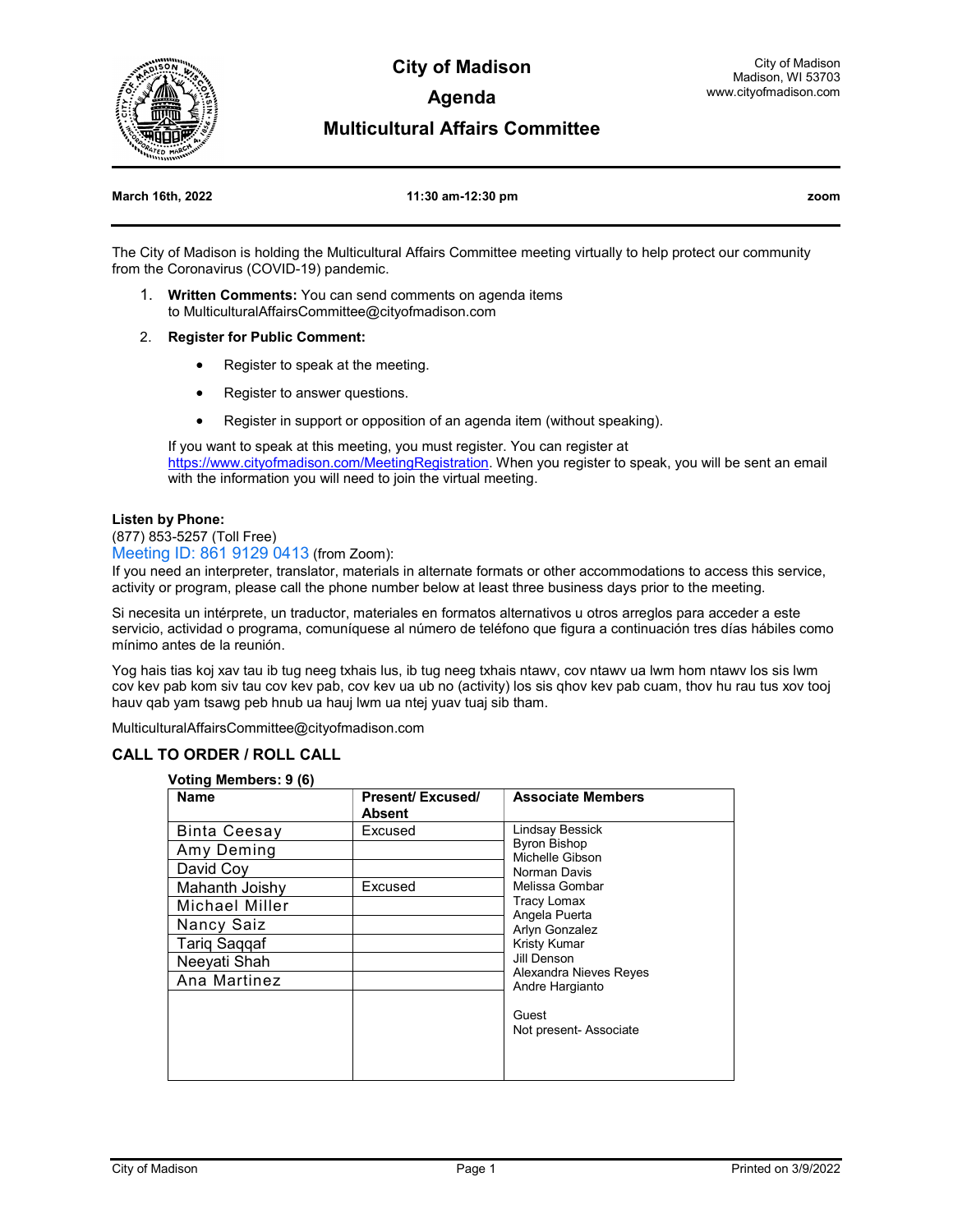

**City of Madison Agenda** 

### **Multicultural Affairs Committee**

#### **March 16th, 2022 11:30 am-12:30 pm zoom**

The City of Madison is holding the Multicultural Affairs Committee meeting virtually to help protect our community from the Coronavirus (COVID-19) pandemic.

- 1. **Written Comments:** You can send comments on agenda items to MulticulturalAffairsCommittee@cityofmadison.com
- 2. **Register for Public Comment:**
	- Register to speak at the meeting.
	- Register to answer questions.
	- Register in support or opposition of an agenda item (without speaking).

If you want to speak at this meeting, you must register. You can register at https://www.cityofmadison.com/MeetingRegistration</u>. When you register to speak, you will be sent an email with the information you will need to join the virtual meeting.

#### **Listen by Phone:**

(877) 853-5257 (Toll Free)

Meeting ID: 861 9129 0413 (from Zoom):

If you need an interpreter, translator, materials in alternate formats or other accommodations to access this service, activity or program, please call the phone number below at least three business days prior to the meeting.

Si necesita un intérprete, un traductor, materiales en formatos alternativos u otros arreglos para acceder a este servicio, actividad o programa, comuníquese al número de teléfono que figura a continuación tres días hábiles como mínimo antes de la reunión.

Yog hais tias koj xav tau ib tug neeg txhais lus, ib tug neeg txhais ntawv, cov ntawv ua lwm hom ntawv los sis lwm cov kev pab kom siv tau cov kev pab, cov kev ua ub no (activity) los sis qhov kev pab cuam, thov hu rau tus xov tooj hauv qab yam tsawg peb hnub ua hauj lwm ua ntej yuav tuaj sib tham.

MulticulturalAffairsCommittee@cityofmadison.com

#### **CALL TO ORDER / ROLL CALL**

#### **Voting Members: 9 (6)**

| <b>Name</b>         | <b>Present/Excused/</b> | <b>Associate Members</b>                  |
|---------------------|-------------------------|-------------------------------------------|
|                     | Absent                  |                                           |
| <b>Binta Ceesay</b> | Excused                 | Lindsay Bessick                           |
| Amy Deming          |                         | <b>Byron Bishop</b><br>Michelle Gibson    |
| David Coy           |                         | Norman Davis                              |
| Mahanth Joishy      | Excused                 | Melissa Gombar                            |
| Michael Miller      |                         | Tracy Lomax                               |
| Nancy Saiz          |                         | Angela Puerta<br>Arlyn Gonzalez           |
| <b>Tariq Saqqaf</b> |                         | <b>Kristy Kumar</b>                       |
| Neeyati Shah        |                         | Jill Denson                               |
| Ana Martinez        |                         | Alexandra Nieves Reyes<br>Andre Hargianto |
|                     |                         |                                           |
|                     |                         | Guest                                     |
|                     |                         | Not present- Associate                    |
|                     |                         |                                           |
|                     |                         |                                           |